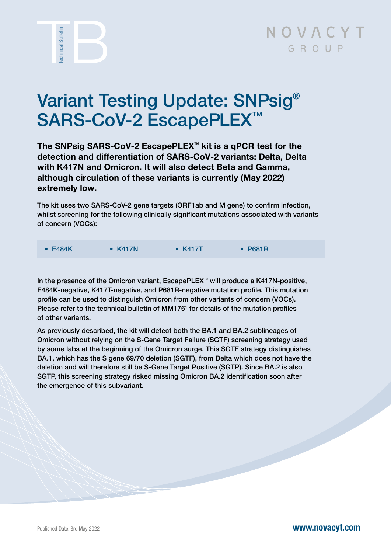

## NOVACYT GROUP

# Variant Testing Update: SNPsig® SARS-CoV-2 EscapePLEX<sup>™</sup>

The SNPsig SARS-CoV-2 EscapePLEX™ kit is a qPCR test for the detection and differentiation of SARS-CoV-2 variants: Delta, Delta with K417N and Omicron. It will also detect Beta and Gamma, although circulation of these variants is currently (May 2022) extremely low.

The kit uses two SARS-CoV-2 gene targets (ORF1ab and M gene) to confirm infection, whilst screening for the following clinically significant mutations associated with variants of concern (VOCs):

| $\bullet$ E484K | $\bullet$ K417N | $\bullet$ K417T | $\cdot$ P681R |
|-----------------|-----------------|-----------------|---------------|
|-----------------|-----------------|-----------------|---------------|

In the presence of the Omicron variant, EscapePLEX™ will produce a K417N-positive, E484K-negative, K417T-negative, and P681R-negative mutation profile. This mutation profile can be used to distinguish Omicron from other variants of concern (VOCs). Please refer to the technical bulletin of MM176<sup>1</sup> for details of the mutation profiles of other variants.

As previously described, the kit will detect both the BA.1 and BA.2 sublineages of Omicron without relying on the S-Gene Target Failure (SGTF) screening strategy used by some labs at the beginning of the Omicron surge. This SGTF strategy distinguishes BA.1, which has the S gene 69/70 deletion (SGTF), from Delta which does not have the deletion and will therefore still be S-Gene Target Positive (SGTP). Since BA.2 is also SGTP, this screening strategy risked missing Omicron BA.2 identification soon after the emergence of this subvariant.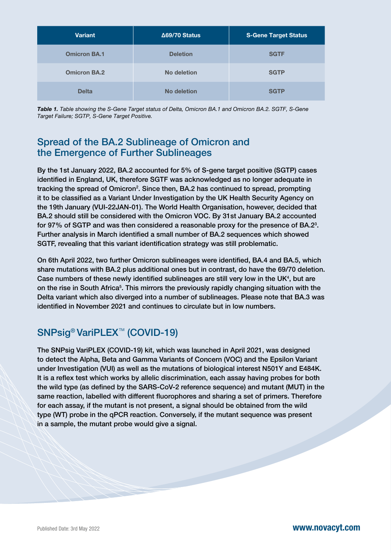| <b>Variant</b>      | ∆69/70 Status   | <b>S-Gene Target Status</b> |
|---------------------|-----------------|-----------------------------|
| <b>Omicron BA.1</b> | <b>Deletion</b> | <b>SGTF</b>                 |
| <b>Omicron BA.2</b> | No deletion     | <b>SGTP</b>                 |
| <b>Delta</b>        | No deletion     | <b>SGTP</b>                 |

*Table 1. Table showing the S-Gene Target status of Delta, Omicron BA.1 and Omicron BA.2. SGTF, S-Gene Target Failure; SGTP, S-Gene Target Positive.*

#### Spread of the BA.2 Sublineage of Omicron and the Emergence of Further Sublineages

By the 1st January 2022, BA.2 accounted for 5% of S-gene target positive (SGTP) cases identified in England, UK, therefore SGTF was acknowledged as no longer adequate in tracking the spread of Omicron<sup>2</sup>. Since then, BA.2 has continued to spread, prompting it to be classified as a Variant Under Investigation by the UK Health Security Agency on the 19th January (VUI-22JAN-01). The World Health Organisation, however, decided that BA.2 should still be considered with the Omicron VOC. By 31st January BA.2 accounted for 97% of SGTP and was then considered a reasonable proxy for the presence of BA.2<sup>3</sup>. Further analysis in March identified a small number of BA.2 sequences which showed SGTF, revealing that this variant identification strategy was still problematic.

On 6th April 2022, two further Omicron sublineages were identified, BA.4 and BA.5, which share mutations with BA.2 plus additional ones but in contrast, do have the 69/70 deletion. Case numbers of these newly identified sublineages are still very low in the UK<sup>4</sup>, but are on the rise in South Africa<sup>5</sup>. This mirrors the previously rapidly changing situation with the Delta variant which also diverged into a number of sublineages. Please note that BA.3 was identified in November 2021 and continues to circulate but in low numbers.

### SNPsig<sup>®</sup> VariPLEX<sup>™</sup> (COVID-19)

The SNPsig VariPLEX (COVID-19) kit, which was launched in April 2021, was designed to detect the Alpha, Beta and Gamma Variants of Concern (VOC) and the Epsilon Variant under Investigation (VUI) as well as the mutations of biological interest N501Y and E484K. It is a reflex test which works by allelic discrimination, each assay having probes for both the wild type (as defined by the SARS-CoV-2 reference sequence) and mutant (MUT) in the same reaction, labelled with different fluorophores and sharing a set of primers. Therefore for each assay, if the mutant is not present, a signal should be obtained from the wild type (WT) probe in the qPCR reaction. Conversely, if the mutant sequence was present in a sample, the mutant probe would give a signal.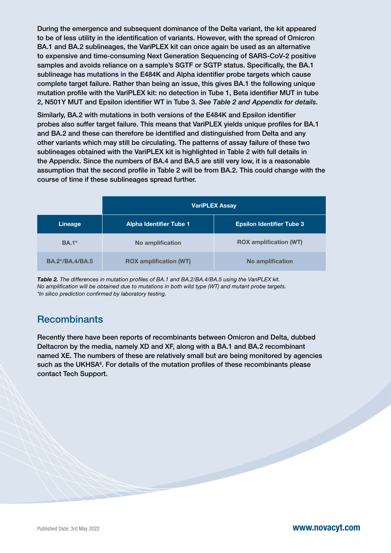During the emergence and subsequent dominance of the Delta variant, the kit appeared to be of less utility in the identification of variants. However, with the spread of Omicron BA.1 and BA.2 sublineages, the VariPLEX kit can once again be used as an alternative to expensive and time-consuming Next Generation Sequencing of SARS-CoV-2 positive samples and avoids reliance on a sample's SGTF or SGTP status. Specifically, the BA.1 sublineage has mutations in the E484K and Alpha identifier probe targets which cause complete target failure. Rather than being an issue, this gives BA.1 the following unique mutation profile with the VariPLEX kit: no detection in Tube 1, Beta identifier MUT in tube 2, N501Y MUT and Epsilon identifier WT in Tube 3. *See Table 2 and Appendix for details.*

Similarly, BA.2 with mutations in both versions of the E484K and Epsilon identifier probes also suffer target failure. This means that VariPLEX yields unique profiles for BA.1 and BA.2 and these can therefore be identified and distinguished from Delta and any other variants which may still be circulating. The patterns of assay failure of these two sublineages obtained with the VariPLEX kit is highlighted in Table 2 with full details in the Appendix. Since the numbers of BA.4 and BA.5 are still very low, it is a reasonable assumption that the second profile in Table 2 will be from BA.2. This could change with the course of time if these sublineages spread further.

|                        | <b>VariPLEX Assay</b>          |                                  |  |  |
|------------------------|--------------------------------|----------------------------------|--|--|
| Lineage                | <b>Alpha Identifier Tube 1</b> | <b>Epsilon Identifier Tube 3</b> |  |  |
| <b>BA.1</b> *          | No amplification               | <b>ROX</b> amplification (WT)    |  |  |
| <b>BA.2*/BA.4/BA.5</b> | <b>ROX</b> amplification (WT)  | No amplification                 |  |  |

*Table 2. The differences in mutation profiles of BA.1 and BA.2/BA.4/BA.5 using the VariPLEX kit. No amplification will be obtained due to mutations in both wild type (WT) and mutant probe targets. \*In silico prediction confirmed by laboratory testing.* 

#### **Recombinants**

Recently there have been reports of recombinants between Omicron and Delta, dubbed Deltacron by the media, namely XD and XF, along with a BA.1 and BA.2 recombinant named XE. The numbers of these are relatively small but are being monitored by agencies such as the UKHSA<sup>6</sup>. For details of the mutation profiles of these recombinants please contact Tech Support.

Published Date: 3rd May 2022 **[www.novacyt.com](http://www.novacyt.com)**